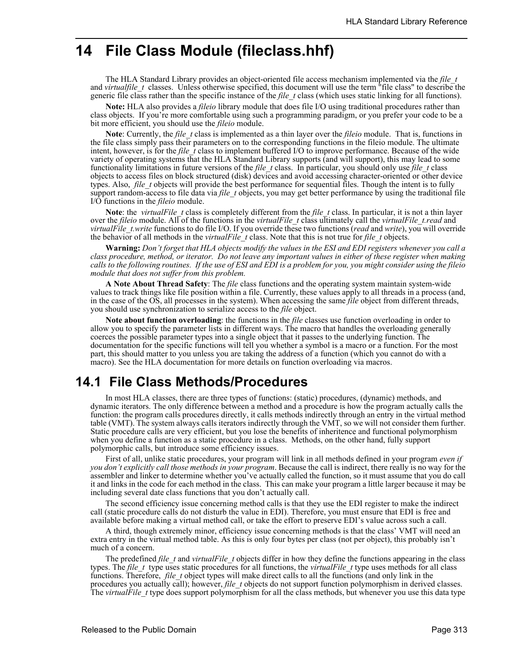# **14 File Class Module (fileclass.hhf)**

The HLA Standard Library provides an object-oriented file access mechanism implemented via the *file\_t* and *virtualfile* t classes. Unless otherwise specified, this document will use the term "file class" to describe the generic file class rather than the specific instance of the *file\_t* class (which uses static linking for all functions).

**Note:** HLA also provides a *fileio* library module that does file I/O using traditional procedures rather than class objects. If you're more comfortable using such a programming paradigm, or you prefer your code to be a bit more efficient, you should use the *fileio* module.

**Note**: Currently, the *file\_t* class is implemented as a thin layer over the *fileio* module. That is, functions in the file class simply pass their parameters on to the corresponding functions in the fileio module. The ultimate intent, however, is for the *file\_t* class to implement buffered I/O to improve performance. Because of the wide variety of operating systems that the HLA Standard Library supports (and will support), this may lead to some functionality limitations in future versions of the *file\_t* class. In particular, you should only use *file\_t* class objects to access files on block structured (disk) devices and avoid accessing character-oriented or other device types. Also, *file* t objects will provide the best performance for sequential files. Though the intent is to fully support random-access to file data via *file\_t* objects, you may get better performance by using the traditional file I/O functions in the *fileio* module.

**Note**: the *virtualFile* t class is completely different from the *file* t class. In particular, it is not a thin layer over the *fileio* module. All of the functions in the *virtualFile\_t* class ultimately call the *virtualFile\_t.read* and *virtualFile\_t.write* functions to do file I/O. If you override these two functions (*read* and *write*), you will override the behavior of all methods in the *virtualFile\_t* class. Note that this is not true for *file\_t* objects.

**Warning:** *Don't forget that HLA objects modify the values in the ESI and EDI registers whenever you call a class procedure, method, or iterator. Do not leave any important values in either of these register when making calls to the following routines. If the use of ESI and EDI is a problem for you, you might consider using the fileio module that does not suffer from this problem.*

**A Note About Thread Safety**: The *file* class functions and the operating system maintain system-wide values to track things like file position within a file. Currently, these values apply to all threads in a process (and, in the case of the OS, all processes in the system). When accessing the same *file* object from different threads, you should use synchronization to serialize access to the *file* object.

**Note about function overloading**: the functions in the *file* classes use function overloading in order to allow you to specify the parameter lists in different ways. The macro that handles the overloading generally coerces the possible parameter types into a single object that it passes to the underlying function. The documentation for the specific functions will tell you whether a symbol is a macro or a function. For the most part, this should matter to you unless you are taking the address of a function (which you cannot do with a macro). See the HLA documentation for more details on function overloading via macros.

# **14.1 File Class Methods/Procedures**

In most HLA classes, there are three types of functions: (static) procedures, (dynamic) methods, and dynamic iterators. The only difference between a method and a procedure is how the program actually calls the function: the program calls procedures directly, it calls methods indirectly through an entry in the virtual method table (VMT). The system always calls iterators indirectly through the VMT, so we will not consider them further. Static procedure calls are very efficient, but you lose the benefits of inheritence and functional polymorphism when you define a function as a static procedure in a class. Methods, on the other hand, fully support polymorphic calls, but introduce some efficiency issues.

First of all, unlike static procedures, your program will link in all methods defined in your program *even if you don't explicitly call those methods in your program*. Because the call is indirect, there really is no way for the assembler and linker to determine whether you've actually called the function, so it must assume that you do call it and links in the code for each method in the class. This can make your program a little larger because it may be including several date class functions that you don't actually call.

The second efficiency issue concerning method calls is that they use the EDI register to make the indirect call (static procedure calls do not disturb the value in EDI). Therefore, you must ensure that EDI is free and available before making a virtual method call, or take the effort to preserve EDI's value across such a call.

A third, though extremely minor, efficiency issue concerning methods is that the class' VMT will need an extra entry in the virtual method table. As this is only four bytes per class (not per object), this probably isn't much of a concern.

The predefined *file\_t* and *virtualFile\_t* objects differ in how they define the functions appearing in the class types. The *file\_t* type uses static procedures for all functions, the *virtualFile\_t* type uses methods for all class functions. Therefore, *file\_t* object types will make direct calls to all the functions (and only link in the procedures you actually call); however, *file\_t* objects do not support function polymorphism in derived classes. The *virtualFile* type does support polymorphism for all the class methods, but whenever you use this data type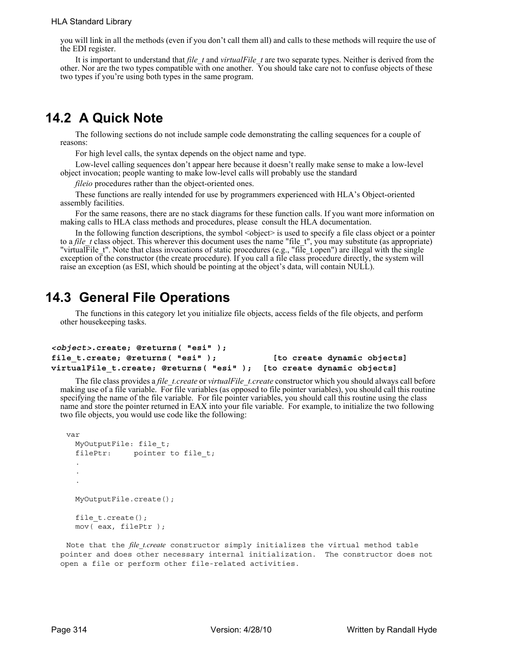you will link in all the methods (even if you don't call them all) and calls to these methods will require the use of the EDI register.

It is important to understand that *file\_t* and *virtualFile\_t* are two separate types. Neither is derived from the other. Nor are the two types compatible with one another. You should take care not to confuse objects of these two types if you're using both types in the same program.

# **14.2 A Quick Note**

The following sections do not include sample code demonstrating the calling sequences for a couple of reasons:

For high level calls, the syntax depends on the object name and type.

Low-level calling sequences don't appear here because it doesn't really make sense to make a low-level object invocation; people wanting to make low-level calls will probably use the standard

*fileio* procedures rather than the object-oriented ones.

These functions are really intended for use by programmers experienced with HLA's Object-oriented assembly facilities.

For the same reasons, there are no stack diagrams for these function calls. If you want more information on making calls to HLA class methods and procedures, please consult the HLA documentation.

In the following function descriptions, the symbol  $\leq$  bject $\geq$  is used to specify a file class object or a pointer to a *file* t class object. This wherever this document uses the name "file t", you may substitute (as appropriate) "virtualFile\_t". Note that class invocations of static procedures (e.g., "file\_t.open") are illegal with the single exception of the constructor (the create procedure). If you call a file class procedure directly, the system will raise an exception (as ESI, which should be pointing at the object's data, will contain NULL).

# **14.3 General File Operations**

The functions in this category let you initialize file objects, access fields of the file objects, and perform other housekeeping tasks.

```
<object>.create; @returns( "esi" );
file_t.create; @returns( "esi" ); [to create dynamic objects]
virtualFile_t.create; @returns( "esi" ); [to create dynamic objects]
```
The file class provides a *file\_t.create* or *virtualFile\_t.create* constructor which you should always call before making use of a file variable. For file variables (as opposed to file pointer variables), you should call this routine specifying the name of the file variable. For file pointer variables, you should call this routine using the class name and store the pointer returned in EAX into your file variable. For example, to initialize the two following two file objects, you would use code like the following:

```
var
  MyOutputFile: file_t;
  filePtr: pointer to file t;
  . 
  .
  .
  MyOutputFile.create();
  file t.create();
  mov( eax, filePtr );
```
Note that the *file t.create* constructor simply initializes the virtual method table pointer and does other necessary internal initialization. The constructor does not open a file or perform other file-related activities.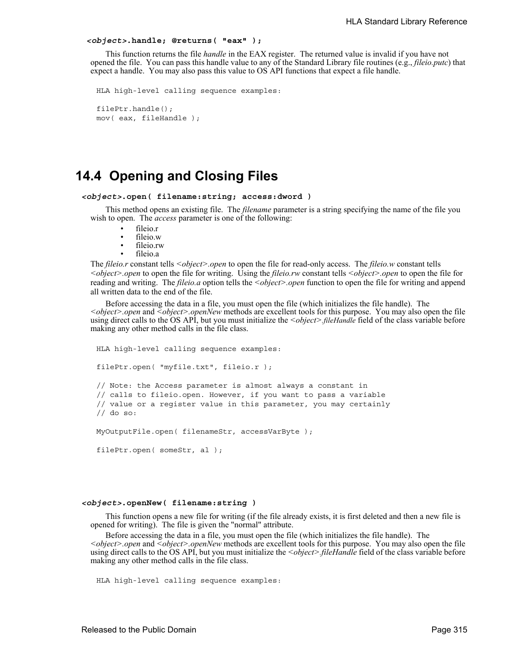#### *<object>***.handle; @returns( "eax" );**

This function returns the file *handle* in the EAX register. The returned value is invalid if you have not opened the file. You can pass this handle value to any of the Standard Library file routines (e.g., *fileio.putc*) that expect a handle. You may also pass this value to OS API functions that expect a file handle.

```
HLA high-level calling sequence examples:
filePtr.handle();
mov( eax, fileHandle );
```
## **14.4 Opening and Closing Files**

```
<object>.open( filename:string; access:dword )
```
This method opens an existing file. The *filename* parameter is a string specifying the name of the file you wish to open. The *access* parameter is one of the following:

- fileio.r
- fileio w
- fileio.rw
- fileio.a

The *fileio.r* constant tells *<object>.open* to open the file for read-only access. The *fileio.w* constant tells *<object>.open* to open the file for writing. Using the *fileio.rw* constant tells *<object>.open* to open the file for reading and writing. The *fileio.a* option tells the *<object>.open* function to open the file for writing and append all written data to the end of the file.

Before accessing the data in a file, you must open the file (which initializes the file handle). The *<object>.open* and *<object>.openNew* methods are excellent tools for this purpose. You may also open the file using direct calls to the OS API, but you must initialize the *<object>fileHandle* field of the class variable before making any other method calls in the file class.

```
HLA high-level calling sequence examples:
filePtr.open( "myfile.txt", fileio.r );
// Note: the Access parameter is almost always a constant in
// calls to fileio.open. However, if you want to pass a variable
// value or a register value in this parameter, you may certainly
// do so:
MyOutputFile.open( filenameStr, accessVarByte );
filePtr.open( someStr, al );
```
#### *<object>***.openNew( filename:string )**

This function opens a new file for writing (if the file already exists, it is first deleted and then a new file is opened for writing). The file is given the "normal" attribute.

Before accessing the data in a file, you must open the file (which initializes the file handle). The *<object>.open* and *<object>.openNew* methods are excellent tools for this purpose. You may also open the file using direct calls to the OS API, but you must initialize the *<object>.fileHandle* field of the class variable before making any other method calls in the file class.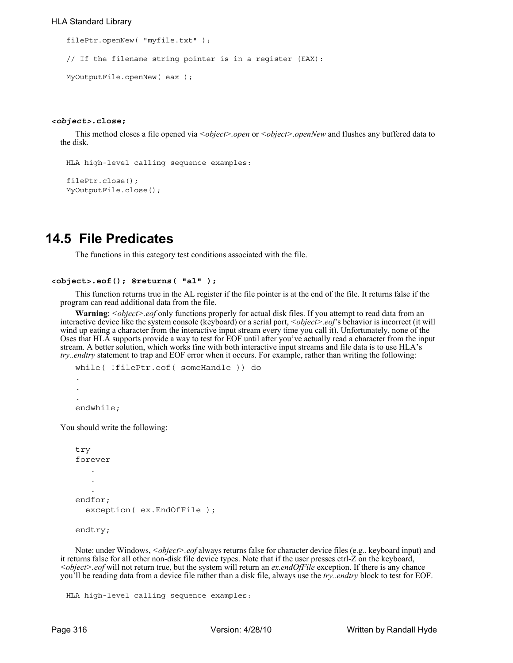#### HLA Standard Library

```
filePtr.openNew( "myfile.txt" );
// If the filename string pointer is in a register (EAX):
MyOutputFile.openNew( eax );
```
#### *<object>***.close;**

This method closes a file opened via *<object>.open* or *<object>.openNew* and flushes any buffered data to the disk.

```
HLA high-level calling sequence examples:
```

```
filePtr.close();
MyOutputFile.close();
```
# **14.5 File Predicates**

The functions in this category test conditions associated with the file.

```
<object>.eof(); @returns( "al" );
```
This function returns true in the AL register if the file pointer is at the end of the file. It returns false if the program can read additional data from the file.

**Warning**: *<object>.eof* only functions properly for actual disk files. If you attempt to read data from an interactive device like the system console (keyboard) or a serial port, *<object>.eof*'s behavior is incorrect (it will wind up eating a character from the interactive input stream every time you call it). Unfortunately, none of the Oses that HLA supports provide a way to test for EOF until after you've actually read a character from the input stream. A better solution, which works fine with both interactive input streams and file data is to use HLA's *try..endtry* statement to trap and EOF error when it occurs. For example, rather than writing the following:

```
while( !filePtr.eof( someHandle )) do
.
.
.
endwhile;
```
You should write the following:

```
try
forever
   .
   .
   .
endfor;
  exception( ex.EndOfFile );
```
endtry;

Note: under Windows, *<object>.eof* always returns false for character device files (e.g., keyboard input) and it returns false for all other non-disk file device types. Note that if the user presses ctrl-Z on the keyboard, *<object>.eof* will not return true, but the system will return an *ex.endOfFile* exception. If there is any chance you'll be reading data from a device file rather than a disk file, always use the *try..endtry* block to test for EOF.

```
HLA high-level calling sequence examples:
```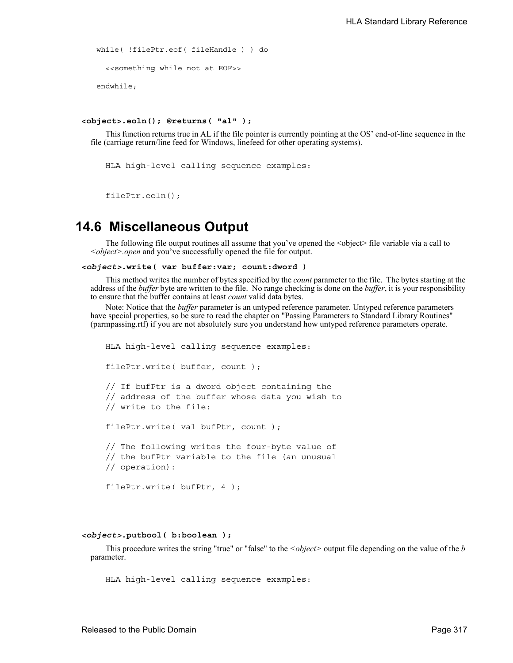```
while( !filePtr.eof( fileHandle ) ) do
  <<something while not at EOF>>
endwhile;
```

```
<object>.eoln(); @returns( "al" );
```
This function returns true in AL if the file pointer is currently pointing at the OS' end-of-line sequence in the file (carriage return/line feed for Windows, linefeed for other operating systems).

```
HLA high-level calling sequence examples:
```
filePtr.eoln();

## **14.6 Miscellaneous Output**

The following file output routines all assume that you've opened the <object> file variable via a call to *<object>.open* and you've successfully opened the file for output.

```
<object>.write( var buffer:var; count:dword )
```
This method writes the number of bytes specified by the *count* parameter to the file. The bytes starting at the address of the *buffer* byte are written to the file. No range checking is done on the *buffer*, it is your responsibility to ensure that the buffer contains at least *count* valid data bytes.

Note: Notice that the *buffer* parameter is an untyped reference parameter. Untyped reference parameters have special properties, so be sure to read the chapter on "Passing Parameters to Standard Library Routines" (parmpassing.rtf) if you are not absolutely sure you understand how untyped reference parameters operate.

```
HLA high-level calling sequence examples:
filePtr.write( buffer, count );
// If bufPtr is a dword object containing the
// address of the buffer whose data you wish to
// write to the file:
filePtr.write( val bufPtr, count );
// The following writes the four-byte value of
// the bufPtr variable to the file (an unusual
// operation):
filePtr.write( bufPtr, 4 );
```
#### *<object>***.putbool( b:boolean );**

This procedure writes the string "true" or "false" to the *<object>* output file depending on the value of the *b* parameter.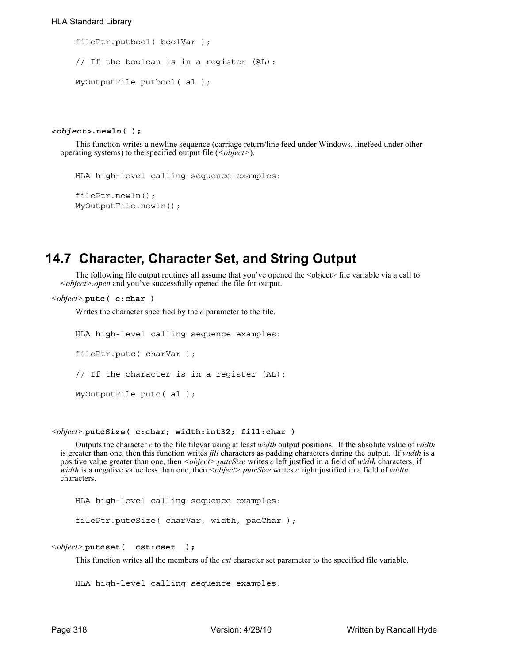```
filePtr.putbool( boolVar );
// If the boolean is in a register (AL):
MyOutputFile.putbool( al );
```
#### *<object>***.newln( );**

This function writes a newline sequence (carriage return/line feed under Windows, linefeed under other operating systems) to the specified output file (*<object>*).

```
HLA high-level calling sequence examples:
```

```
filePtr.newln();
MyOutputFile.newln();
```
# **14.7 Character, Character Set, and String Output**

The following file output routines all assume that you've opened the <object> file variable via a call to *<object>.open* and you've successfully opened the file for output.

```
<object>.putc( c:char )
```
Writes the character specified by the *c* parameter to the file.

```
HLA high-level calling sequence examples:
filePtr.putc( charVar );
// If the character is in a register (AL):
MyOutputFile.putc( al );
```
#### *<object>.***putcSize( c:char; width:int32; fill:char )**

Outputs the character *c* to the file filevar using at least *width* output positions. If the absolute value of *width* is greater than one, then this function writes *fill* characters as padding characters during the output. If *width* is a positive value greater than one, then *<object>.putcSize* writes *c* left justfied in a field of *width* characters; if *width* is a negative value less than one, then *<object>.putcSize* writes *c* right justified in a field of *width* characters.

HLA high-level calling sequence examples:

filePtr.putcSize( charVar, width, padChar );

```
<object>.putcset( cst:cset );
```
This function writes all the members of the *cst* character set parameter to the specified file variable.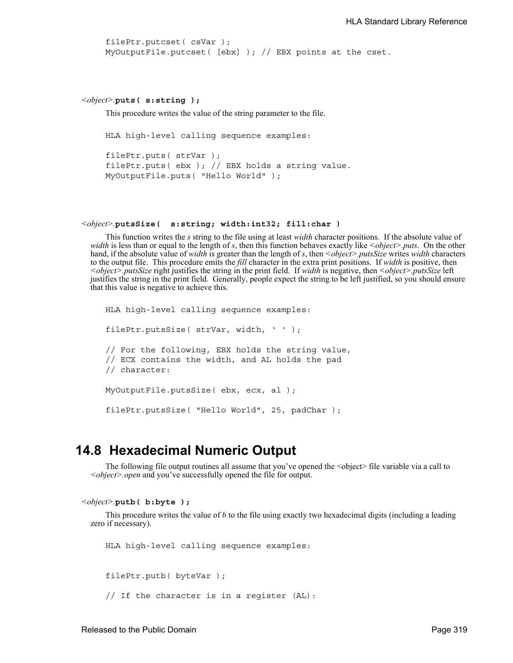```
filePtr.putcset( csVar );
MyOutputFile.putcset( [ebx] ); // EBX points at the cset.
```

```
<object>.puts( s:string );
```
This procedure writes the value of the string parameter to the file.

HLA high-level calling sequence examples:

```
filePtr.puts( strVar );
filePtr.puts( ebx ); // EBX holds a string value.
MyOutputFile.puts( "Hello World" );
```

```
<object>.putsSize( s:string; width:int32; fill:char )
```
This function writes the *s* string to the file using at least *width* character positions. If the absolute value of *width* is less than or equal to the length of *s*, then this function behaves exactly like *<object>.puts*. On the other hand, if the absolute value of *width* is greater than the length of *s*, then *<object>.putsSize* writes *width* characters to the output file. This procedure emits the *fill* character in the extra print positions. If *width* is positive, then *<object>.putsSize* right justifies the string in the print field. If *width* is negative, then *<object>.putsSize* left justifies the string in the print field. Generally, people expect the string to be left justified, so you should ensure that this value is negative to achieve this.

```
HLA high-level calling sequence examples:
filePtr.putsSize( strVar, width, ' ' );
// For the following, EBX holds the string value,
// ECX contains the width, and AL holds the pad
// character:
MyOutputFile.putsSize( ebx, ecx, al );
filePtr.putsSize( "Hello World", 25, padChar );
```
## **14.8 Hexadecimal Numeric Output**

The following file output routines all assume that you've opened the <object> file variable via a call to *<object>.open* and you've successfully opened the file for output.

```
<object>.putb( b:byte );
```
This procedure writes the value of *b* to the file using exactly two hexadecimal digits (including a leading zero if necessary).

HLA high-level calling sequence examples:

filePtr.putb( byteVar );

// If the character is in a register (AL):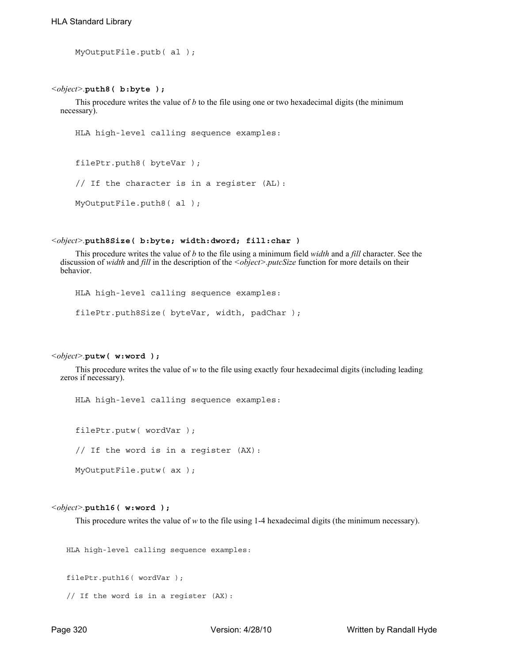```
MyOutputFile.putb( al );
```
#### *<object>.***puth8( b:byte );**

This procedure writes the value of *b* to the file using one or two hexadecimal digits (the minimum necessary).

```
HLA high-level calling sequence examples:
```

```
filePtr.puth8( byteVar );
```

```
// If the character is in a register (AL):
```
MyOutputFile.puth8( al );

#### *<object>.***puth8Size( b:byte; width:dword; fill:char )**

This procedure writes the value of *b* to the file using a minimum field *width* and a *fill* character. See the discussion of *width* and *fill* in the description of the *<object>.putcSize* function for more details on their behavior.

```
HLA high-level calling sequence examples:
```
filePtr.puth8Size( byteVar, width, padChar );

#### *<object>.***putw( w:word );**

This procedure writes the value of *w* to the file using exactly four hexadecimal digits (including leading zeros if necessary).

HLA high-level calling sequence examples:

filePtr.putw( wordVar );

```
// If the word is in a register (AX):
```
MyOutputFile.putw( ax );

#### *<object>.***puth16( w:word );**

This procedure writes the value of *w* to the file using 1-4 hexadecimal digits (the minimum necessary).

HLA high-level calling sequence examples:

filePtr.puth16( wordVar );

```
// If the word is in a register (AX):
```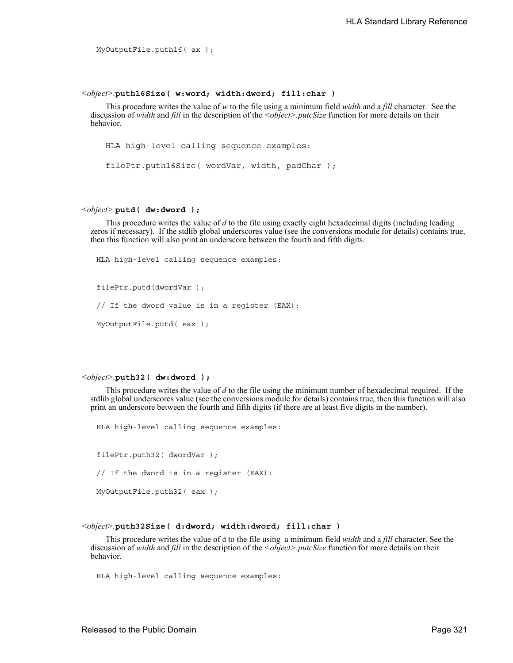```
MyOutputFile.puth16( ax );
```
#### *<object>.***puth16Size( w:word; width:dword; fill:char )**

This procedure writes the value of *w* to the file using a minimum field *width* and a *fill* character. See the discussion of *width* and *fill* in the description of the *<object>.putcSize* function for more details on their behavior.

HLA high-level calling sequence examples:

filePtr.puth16Size( wordVar, width, padChar );

#### *<object>.***putd( dw:dword );**

This procedure writes the value of *d* to the file using exactly eight hexadecimal digits (including leading zeros if necessary). If the stdlib global underscores value (see the conversions module for details) contains true, then this function will also print an underscore between the fourth and fifth digits.

```
HLA high-level calling sequence examples:
filePtr.putd(dwordVar );
// If the dword value is in a register (EAX):
MyOutputFile.putd( eax );
```
#### *<object>.***puth32( dw:dword );**

This procedure writes the value of *d* to the file using the minimum number of hexadecimal required. If the stdlib global underscores value (see the conversions module for details) contains true, then this function will also print an underscore between the fourth and fifth digits (if there are at least five digits in the number).

HLA high-level calling sequence examples:

filePtr.puth32( dwordVar ); // If the dword is in a register (EAX): MyOutputFile.puth32( eax );

#### *<object>.***puth32Size( d:dword; width:dword; fill:char )**

This procedure writes the value of d to the file using a minimum field *width* and a *fill* character. See the discussion of *width* and *fill* in the description of the *<object>.putcSize* function for more details on their behavior.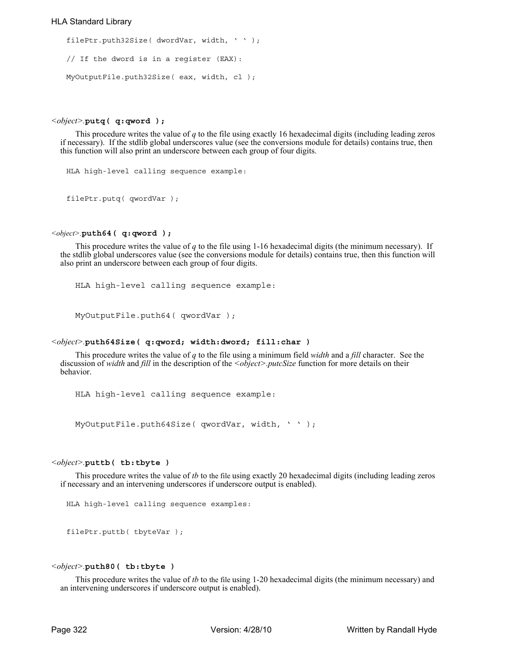#### HLA Standard Library

```
filePtr.puth32Size( dwordVar, width, ' ' );
// If the dword is in a register (EAX):
MyOutputFile.puth32Size( eax, width, cl );
```
#### *<object>.***putq( q:qword );**

This procedure writes the value of *q* to the file using exactly 16 hexadecimal digits (including leading zeros if necessary). If the stdlib global underscores value (see the conversions module for details) contains true, then this function will also print an underscore between each group of four digits.

HLA high-level calling sequence example:

filePtr.putq( qwordVar );

#### *<object>.***puth64( q:qword );**

This procedure writes the value of *q* to the file using 1-16 hexadecimal digits (the minimum necessary). If the stdlib global underscores value (see the conversions module for details) contains true, then this function will also print an underscore between each group of four digits.

HLA high-level calling sequence example:

MyOutputFile.puth64( qwordVar );

#### *<object>.***puth64Size( q:qword; width:dword; fill:char )**

This procedure writes the value of *q* to the file using a minimum field *width* and a *fill* character. See the discussion of *width* and *fill* in the description of the *<object>.putcSize* function for more details on their behavior.

HLA high-level calling sequence example:

MyOutputFile.puth64Size( qwordVar, width, ' ' );

#### *<object>.***puttb( tb:tbyte )**

This procedure writes the value of *tb* to the file using exactly 20 hexadecimal digits (including leading zeros if necessary and an intervening underscores if underscore output is enabled).

HLA high-level calling sequence examples:

filePtr.puttb( tbyteVar );

#### *<object>.***puth80( tb:tbyte )**

This procedure writes the value of *tb* to the file using 1-20 hexadecimal digits (the minimum necessary) and an intervening underscores if underscore output is enabled).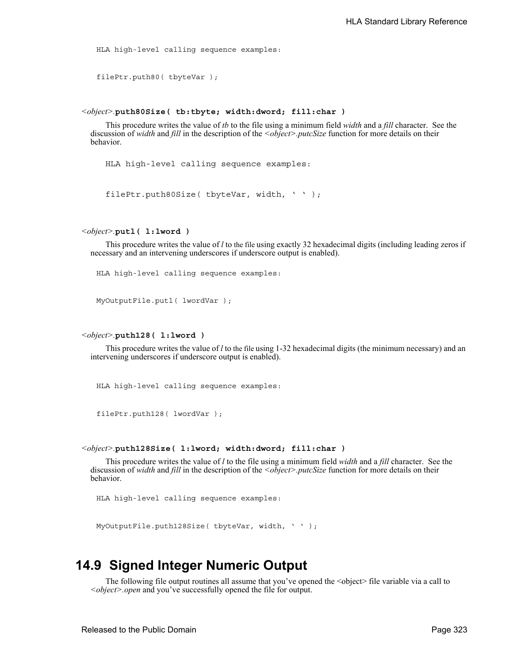```
HLA high-level calling sequence examples:
```

```
filePtr.puth80( tbyteVar );
```
#### *<object>.***puth80Size( tb:tbyte; width:dword; fill:char )**

This procedure writes the value of *tb* to the file using a minimum field *width* and a *fill* character. See the discussion of *width* and *fill* in the description of the *<object>.putcSize* function for more details on their behavior.

HLA high-level calling sequence examples:

filePtr.puth80Size( tbyteVar, width, ' ' );

*<object>.***putl( l:lword )**

This procedure writes the value of *l* to the file using exactly 32 hexadecimal digits (including leading zeros if necessary and an intervening underscores if underscore output is enabled).

HLA high-level calling sequence examples:

MyOutputFile.putl( lwordVar );

#### *<object>.***puth128( l:lword )**

This procedure writes the value of *l* to the file using 1-32 hexadecimal digits (the minimum necessary) and an intervening underscores if underscore output is enabled).

HLA high-level calling sequence examples:

```
filePtr.puth128( lwordVar );
```
#### *<object>.***puth128Size( l:lword; width:dword; fill:char )**

This procedure writes the value of *l* to the file using a minimum field *width* and a *fill* character. See the discussion of *width* and *fill* in the description of the *<object>.putcSize* function for more details on their behavior.

HLA high-level calling sequence examples:

MyOutputFile.puth128Size( tbyteVar, width, ' ' );

## **14.9 Signed Integer Numeric Output**

The following file output routines all assume that you've opened the  $\leq$ object> file variable via a call to *<object>.open* and you've successfully opened the file for output.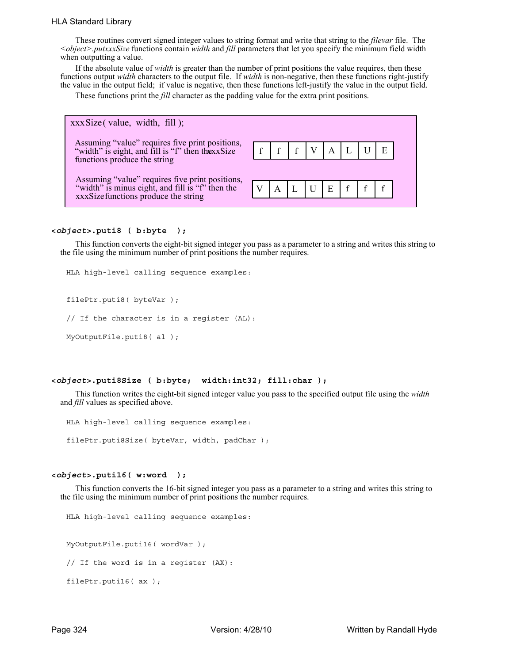#### HLA Standard Library

These routines convert signed integer values to string format and write that string to the *filevar* file. The *<object>.putxxxSize* functions contain *width* and *fill* parameters that let you specify the minimum field width when outputting a value.

If the absolute value of *width* is greater than the number of print positions the value requires, then these functions output *width* characters to the output file. If *width* is non-negative, then these functions right-justify the value in the output field; if value is negative, then these functions left-justify the value in the output field.

These functions print the *fill* character as the padding value for the extra print positions.



#### **<***object***>.puti8 ( b:byte );**

This function converts the eight-bit signed integer you pass as a parameter to a string and writes this string to the file using the minimum number of print positions the number requires.

HLA high-level calling sequence examples:

filePtr.puti8( byteVar );

// If the character is in a register (AL):

MyOutputFile.puti8( al );

#### **<***object***>.puti8Size ( b:byte; width:int32; fill:char );**

This function writes the eight-bit signed integer value you pass to the specified output file using the *width* and *fill* values as specified above.

HLA high-level calling sequence examples:

filePtr.puti8Size( byteVar, width, padChar );

#### **<***object***>.puti16( w:word );**

This function converts the 16-bit signed integer you pass as a parameter to a string and writes this string to the file using the minimum number of print positions the number requires.

HLA high-level calling sequence examples: MyOutputFile.puti16( wordVar ); // If the word is in a register (AX): filePtr.puti16( ax );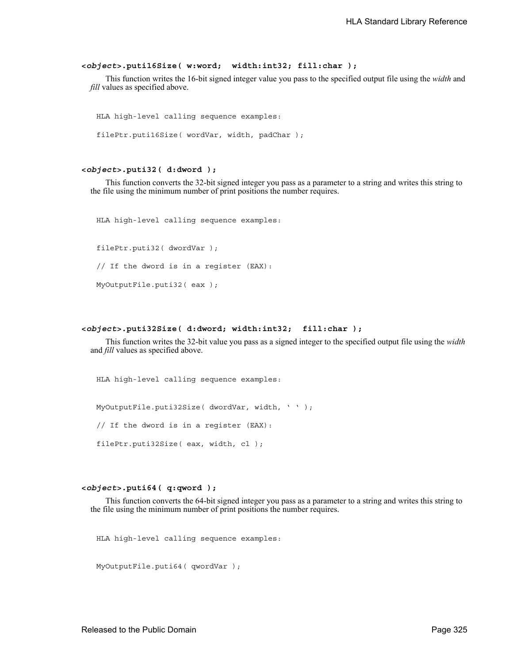#### **<***object***>.puti16Size( w:word; width:int32; fill:char );**

This function writes the 16-bit signed integer value you pass to the specified output file using the *width* and *fill* values as specified above.

HLA high-level calling sequence examples: filePtr.puti16Size( wordVar, width, padChar );

#### **<***object***>.puti32( d:dword );**

This function converts the 32-bit signed integer you pass as a parameter to a string and writes this string to the file using the minimum number of print positions the number requires.

HLA high-level calling sequence examples:

filePtr.puti32( dwordVar ); // If the dword is in a register (EAX): MyOutputFile.puti32( eax );

#### **<***object***>.puti32Size( d:dword; width:int32; fill:char );**

This function writes the 32-bit value you pass as a signed integer to the specified output file using the *width* and *fill* values as specified above.

HLA high-level calling sequence examples:

MyOutputFile.puti32Size( dwordVar, width, ' ' );

// If the dword is in a register (EAX):

filePtr.puti32Size( eax, width, cl );

**<***object***>.puti64( q:qword );**

This function converts the 64-bit signed integer you pass as a parameter to a string and writes this string to the file using the minimum number of print positions the number requires.

```
MyOutputFile.puti64( qwordVar );
```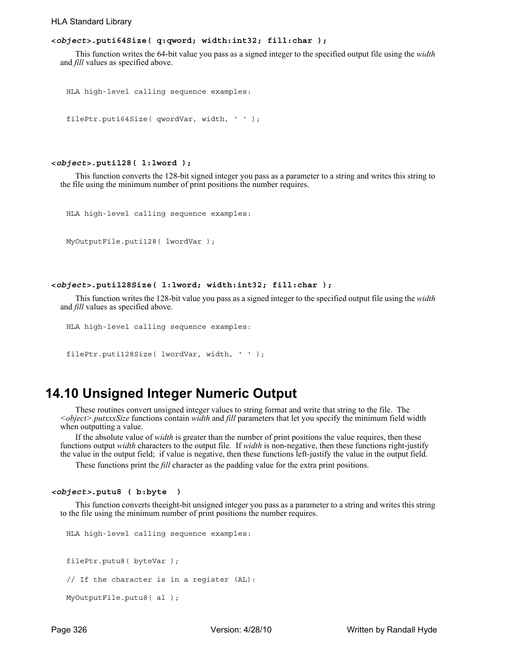#### HLA Standard Library

#### **<***object***>.puti64Size( q:qword; width:int32; fill:char );**

This function writes the 64-bit value you pass as a signed integer to the specified output file using the *width* and *fill* values as specified above.

```
HLA high-level calling sequence examples:
```

```
filePtr.puti64Size( qwordVar, width, ' ' );
```
#### **<***object***>.puti128( l:lword );**

This function converts the 128-bit signed integer you pass as a parameter to a string and writes this string to the file using the minimum number of print positions the number requires.

```
HLA high-level calling sequence examples:
```

```
MyOutputFile.puti128( lwordVar );
```
#### **<***object***>.puti128Size( l:lword; width:int32; fill:char );**

This function writes the 128-bit value you pass as a signed integer to the specified output file using the *width* and *fill* values as specified above.

```
HLA high-level calling sequence examples:
```

```
filePtr.puti128Size( lwordVar, width, ' ' );
```
## **14.10 Unsigned Integer Numeric Output**

These routines convert unsigned integer values to string format and write that string to the file. The *<object>.putxxxSize* functions contain *width* and *fill* parameters that let you specify the minimum field width when outputting a value.

If the absolute value of *width* is greater than the number of print positions the value requires, then these functions output *width* characters to the output file. If *width* is non-negative, then these functions right-justify the value in the output field; if value is negative, then these functions left-justify the value in the output field.

These functions print the *fill* character as the padding value for the extra print positions.

```
<object>.putu8 ( b:byte )
```
This function converts theeight-bit unsigned integer you pass as a parameter to a string and writes this string to the file using the minimum number of print positions the number requires.

```
HLA high-level calling sequence examples:
filePtr.putu8( byteVar );
// If the character is in a register (AL):
MyOutputFile.putu8( al );
```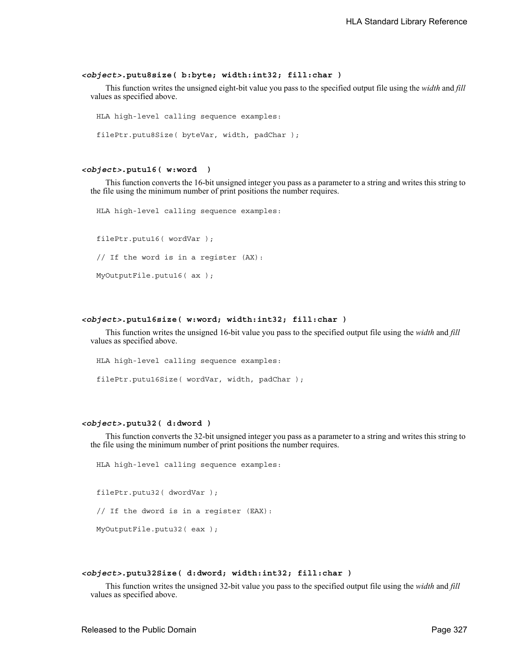#### *<object>***.putu8size( b:byte; width:int32; fill:char )**

This function writes the unsigned eight-bit value you pass to the specified output file using the *width* and *fill* values as specified above.

```
HLA high-level calling sequence examples:
filePtr.putu8Size( byteVar, width, padChar );
```
#### *<object>***.putu16( w:word )**

This function converts the 16-bit unsigned integer you pass as a parameter to a string and writes this string to the file using the minimum number of print positions the number requires.

HLA high-level calling sequence examples: filePtr.putu16( wordVar ); // If the word is in a register (AX): MyOutputFile.putu16( ax );

#### *<object>***.putu16size( w:word; width:int32; fill:char )**

This function writes the unsigned 16-bit value you pass to the specified output file using the *width* and *fill* values as specified above.

HLA high-level calling sequence examples: filePtr.putu16Size( wordVar, width, padChar );

#### *<object>***.putu32( d:dword )**

This function converts the 32-bit unsigned integer you pass as a parameter to a string and writes this string to the file using the minimum number of print positions the number requires.

HLA high-level calling sequence examples: filePtr.putu32( dwordVar );

// If the dword is in a register (EAX):

MyOutputFile.putu32( eax );

#### *<object>***.putu32Size( d:dword; width:int32; fill:char )**

This function writes the unsigned 32-bit value you pass to the specified output file using the *width* and *fill* values as specified above.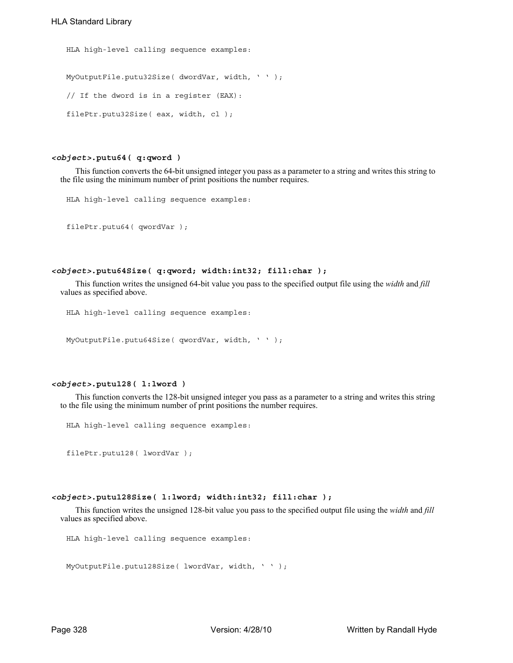```
HLA high-level calling sequence examples:
MyOutputFile.putu32Size( dwordVar, width, ' ' );
// If the dword is in a register (EAX):
filePtr.putu32Size( eax, width, cl );
```
#### *<object>***.putu64( q:qword )**

This function converts the 64-bit unsigned integer you pass as a parameter to a string and writes this string to the file using the minimum number of print positions the number requires.

```
HLA high-level calling sequence examples:
```

```
filePtr.putu64( qwordVar );
```
#### *<object>***.putu64Size( q:qword; width:int32; fill:char );**

This function writes the unsigned 64-bit value you pass to the specified output file using the *width* and *fill* values as specified above.

```
HLA high-level calling sequence examples:
```

```
MyOutputFile.putu64Size( qwordVar, width, ' ' );
```
#### *<object>***.putu128( l:lword )**

This function converts the 128-bit unsigned integer you pass as a parameter to a string and writes this string to the file using the minimum number of print positions the number requires.

```
HLA high-level calling sequence examples:
```
filePtr.putu128( lwordVar );

#### *<object>***.putu128Size( l:lword; width:int32; fill:char );**

This function writes the unsigned 128-bit value you pass to the specified output file using the *width* and *fill* values as specified above.

```
HLA high-level calling sequence examples:
```

```
MyOutputFile.putu128Size( lwordVar, width, ' ' );
```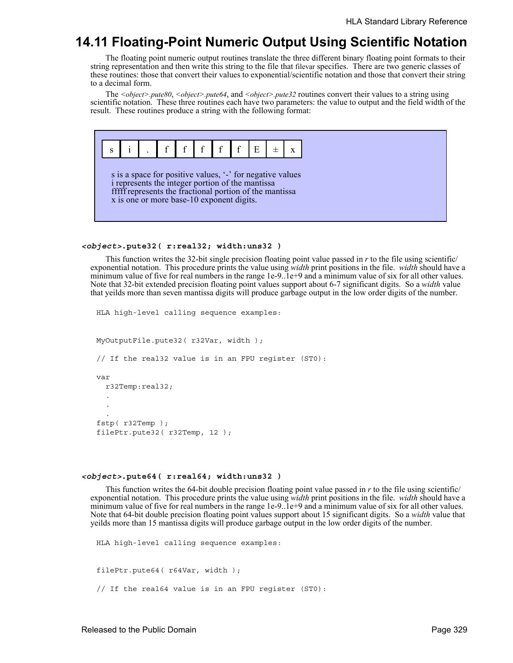# **14.11 Floating-Point Numeric Output Using Scientific Notation**

The floating point numeric output routines translate the three different binary floating point formats to their string representation and then write this string to the file that filevar specifies. There are two generic classes of these routines: those that convert their values to exponential/scientific notation and those that convert their string to a decimal form.

The *<object>.pute80*, *<object>.pute64*, and *<object>.pute32* routines convert their values to a string using scientific notation. These three routines each have two parameters: the value to output and the field width of the result. These routines produce a string with the following format:



#### *<object>***.pute32( r:real32; width:uns32 )**

This function writes the 32-bit single precision floating point value passed in *r* to the file using scientific/ exponential notation. This procedure prints the value using *width* print positions in the file. *width* should have a minimum value of five for real numbers in the range 1e-9..1e+9 and a minimum value of six for all other values. Note that 32-bit extended precision floating point values support about 6-7 significant digits. So a *width* value that yeilds more than seven mantissa digits will produce garbage output in the low order digits of the number.

```
HLA high-level calling sequence examples:
MyOutputFile.pute32( r32Var, width );
// If the real32 value is in an FPU register (ST0):
var
  r32Temp:real32;
  .
  .
  .
fstp( r32Temp );
filePtr.pute32( r32Temp, 12 );
```
#### *<object>***.pute64( r:real64; width:uns32 )**

This function writes the 64-bit double precision floating point value passed in *r* to the file using scientific/ exponential notation. This procedure prints the value using *width* print positions in the file. *width* should have a minimum value of five for real numbers in the range 1e-9..1e+9 and a minimum value of six for all other values. Note that 64-bit double precision floating point values support about 15 significant digits. So a *width* value that yeilds more than 15 mantissa digits will produce garbage output in the low order digits of the number.

```
HLA high-level calling sequence examples:
filePtr.pute64( r64Var, width );
// If the real64 value is in an FPU register (ST0):
```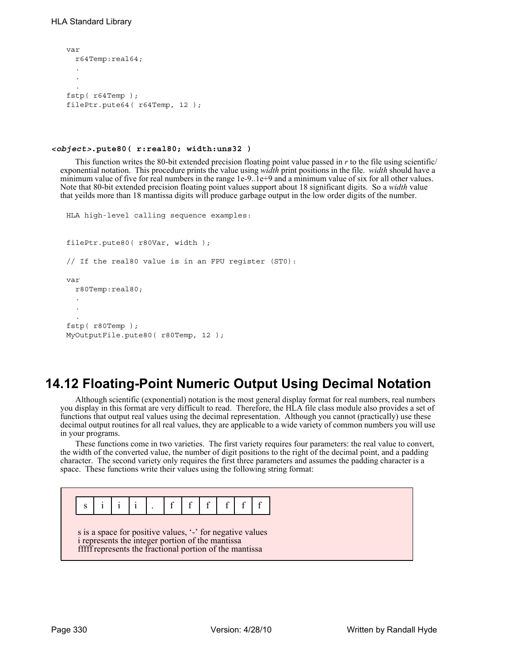```
var
 r64Temp:real64;
  .
  .
  .
fstp( r64Temp );
filePtr.pute64( r64Temp, 12 );
```
#### *<object>***.pute80( r:real80; width:uns32 )**

This function writes the 80-bit extended precision floating point value passed in *r* to the file using scientific/ exponential notation. This procedure prints the value using *width* print positions in the file. *width* should have a minimum value of five for real numbers in the range 1e-9..1e+9 and a minimum value of six for all other values. Note that 80-bit extended precision floating point values support about 18 significant digits. So a *width* value that yeilds more than 18 mantissa digits will produce garbage output in the low order digits of the number.

```
HLA high-level calling sequence examples:
filePtr.pute80( r80Var, width );
// If the real80 value is in an FPU register (ST0):
var
  r80Temp:real80;
  .
  .
  .
fstp( r80Temp );
MyOutputFile.pute80(r80Temp, 12);
```
# **14.12 Floating-Point Numeric Output Using Decimal Notation**

Although scientific (exponential) notation is the most general display format for real numbers, real numbers you display in this format are very difficult to read. Therefore, the HLA file class module also provides a set of functions that output real values using the decimal representation. Although you cannot (practically) use these decimal output routines for all real values, they are applicable to a wide variety of common numbers you will use in your programs.

These functions come in two varieties. The first variety requires four parameters: the real value to convert, the width of the converted value, the number of digit positions to the right of the decimal point, and a padding character. The second variety only requires the first three parameters and assumes the padding character is a space. These functions write their values using the following string format:

# $s$  | i | i | i | . | f| f| f| f| f| f| f

s is a space for positive values, '-' for negative values i represents the integer portion of the mantissa fffff represents the fractional portion of the mantissa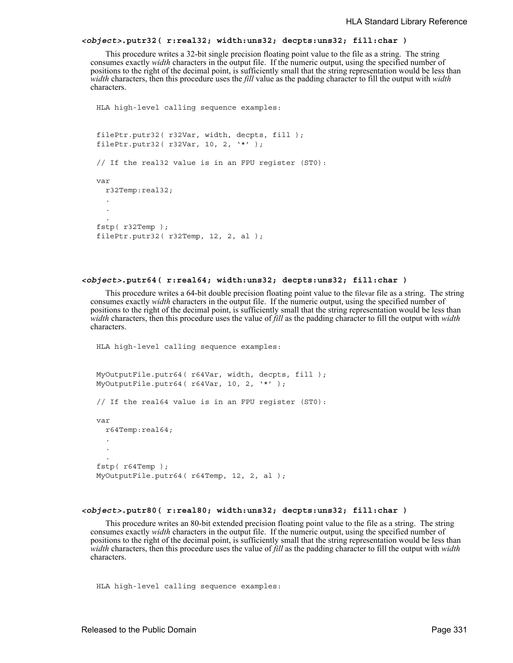#### *<object>***.putr32( r:real32; width:uns32; decpts:uns32; fill:char )**

This procedure writes a 32-bit single precision floating point value to the file as a string. The string consumes exactly *width* characters in the output file. If the numeric output, using the specified number of positions to the right of the decimal point, is sufficiently small that the string representation would be less than *width* characters, then this procedure uses the *fill* value as the padding character to fill the output with *width* characters.

```
HLA high-level calling sequence examples:
filePtr.putr32( r32Var, width, decpts, fill );
filePtr.putr32( r32Var, 10, 2, '*' );
// If the real32 value is in an FPU register (ST0):
var
  r32Temp:real32;
  .
  .
  .
fstp( r32Temp );
filePtr.putr32( r32Temp, 12, 2, al );
```
#### *<object>***.putr64( r:real64; width:uns32; decpts:uns32; fill:char )**

This procedure writes a 64-bit double precision floating point value to the filevar file as a string. The string consumes exactly *width* characters in the output file. If the numeric output, using the specified number of positions to the right of the decimal point, is sufficiently small that the string representation would be less than *width* characters, then this procedure uses the value of *fill* as the padding character to fill the output with *width* characters.

```
HLA high-level calling sequence examples:
MyOutputFile.putr64( r64Var, width, decpts, fill );
MyOutputFile.putr64( r64Var, 10, 2, '*' );
// If the real64 value is in an FPU register (ST0):
var
  r64Temp:real64;
  .
  .
  .
fstp( r64Temp );
MyOutputFile.putr64( r64Temp, 12, 2, al );
```
#### *<object>***.putr80( r:real80; width:uns32; decpts:uns32; fill:char )**

This procedure writes an 80-bit extended precision floating point value to the file as a string. The string consumes exactly *width* characters in the output file. If the numeric output, using the specified number of positions to the right of the decimal point, is sufficiently small that the string representation would be less than *width* characters, then this procedure uses the value of *fill* as the padding character to fill the output with *width* characters.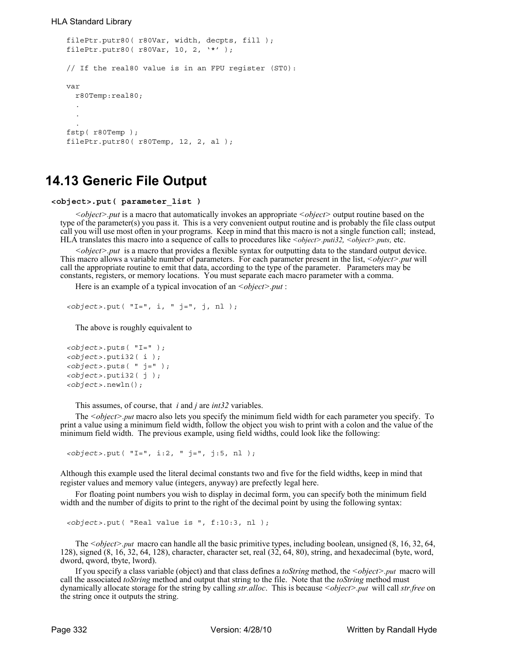#### HLA Standard Library

```
filePtr.putr80( r80Var, width, decpts, fill );
filePtr.putr80( r80Var, 10, 2, '*' );
// If the real80 value is in an FPU register (ST0):
var
  r80Temp:real80;
  .
  .
  .
fstp( r80Temp );
filePtr.putr80( r80Temp, 12, 2, al );
```
## **14.13 Generic File Output**

```
<object>.put( parameter_list )
```
*<object>.put* is a macro that automatically invokes an appropriate *<object>* output routine based on the type of the parameter(s) you pass it. This is a very convenient output routine and is probably the file class output call you will use most often in your programs. Keep in mind that this macro is not a single function call; instead, HLA translates this macro into a sequence of calls to procedures like *<object>.puti32, <object>.puts,* etc.

*<object>.put* is a macro that provides a flexible syntax for outputting data to the standard output device. This macro allows a variable number of parameters. For each parameter present in the list, *<object>.put* will call the appropriate routine to emit that data, according to the type of the parameter. Parameters may be constants, registers, or memory locations. You must separate each macro parameter with a comma.

Here is an example of a typical invocation of an *<object>.put*:

```
<object>.put( "I=", i, " j=", j, nl );
```
The above is roughly equivalent to

```
<object>.puts( "I=" );
<object>.puti32( i );
<object>.puts( " j=" );
<object>.puti32( j );
<object>.newln();
```
This assumes, of course, that *i* and *j* are *int32* variables.

The *<object>.put* macro also lets you specify the minimum field width for each parameter you specify. To print a value using a minimum field width, follow the object you wish to print with a colon and the value of the minimum field width. The previous example, using field widths, could look like the following:

*<object>*.put( "I=", i:2, " j=", j:5, nl );

Although this example used the literal decimal constants two and five for the field widths, keep in mind that register values and memory value (integers, anyway) are prefectly legal here.

For floating point numbers you wish to display in decimal form, you can specify both the minimum field width and the number of digits to print to the right of the decimal point by using the following syntax:

*<object>*.put( "Real value is ", f:10:3, nl );

The *<object>.put* macro can handle all the basic primitive types, including boolean, unsigned (8, 16, 32, 64, 128), signed (8, 16, 32, 64, 128), character, character set, real (32, 64, 80), string, and hexadecimal (byte, word, dword, qword, tbyte, lword).

If you specify a class variable (object) and that class defines a *toString* method, the *<object>.put* macro will call the associated *toString* method and output that string to the file. Note that the *toString* method must dynamically allocate storage for the string by calling *str.alloc*. This is because *<object>.put* will call *str.free* on the string once it outputs the string.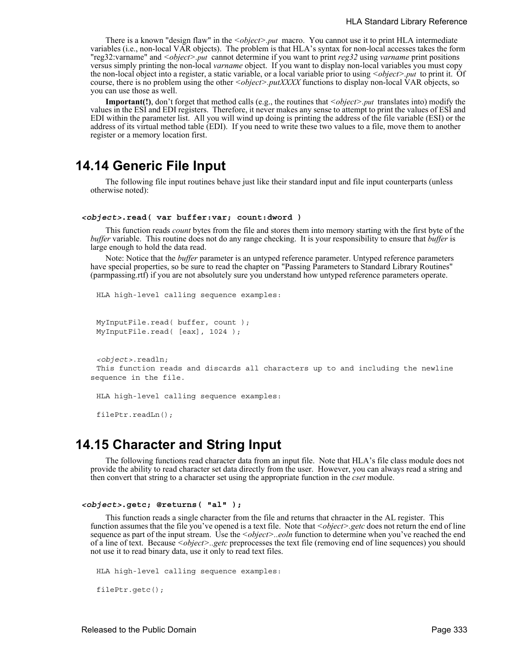There is a known "design flaw" in the *<object>.put* macro. You cannot use it to print HLA intermediate variables (i.e., non-local VAR objects). The problem is that HLA's syntax for non-local accesses takes the form "reg32:varname" and *<object>.put* cannot determine if you want to print *reg32* using *varname* print positions versus simply printing the non-local *varname* object. If you want to display non-local variables you must copy the non-local object into a register, a static variable, or a local variable prior to using *<object>.put* to print it. Of course, there is no problem using the other  $\leq object$ *>.putXXXX* functions to display non-local VAR objects, so you can use those as well.

**Important(!)**, don't forget that method calls (e.g., the routines that *<object>.put* translates into) modify the values in the ESI and EDI registers. Therefore, it never makes any sense to attempt to print the values of ESI and EDI within the parameter list. All you will wind up doing is printing the address of the file variable (ESI) or the address of its virtual method table (EDI). If you need to write these two values to a file, move them to another register or a memory location first.

### **14.14 Generic File Input**

The following file input routines behave just like their standard input and file input counterparts (unless otherwise noted):

#### *<object>***.read( var buffer:var; count:dword )**

This function reads *count* bytes from the file and stores them into memory starting with the first byte of the *buffer* variable. This routine does not do any range checking. It is your responsibility to ensure that *buffer* is large enough to hold the data read.

Note: Notice that the *buffer* parameter is an untyped reference parameter. Untyped reference parameters have special properties, so be sure to read the chapter on "Passing Parameters to Standard Library Routines" (parmpassing.rtf) if you are not absolutely sure you understand how untyped reference parameters operate.

```
HLA high-level calling sequence examples:
```

```
MyInputFile.read( buffer, count );
MyInputFile.read( [eax], 1024 );
```

```
<object>.readln;
 This function reads and discards all characters up to and including the newline 
sequence in the file.
```
HLA high-level calling sequence examples:

filePtr.readLn();

## **14.15 Character and String Input**

The following functions read character data from an input file. Note that HLA's file class module does not provide the ability to read character set data directly from the user. However, you can always read a string and then convert that string to a character set using the appropriate function in the *cset* module.

```
<object>.getc; @returns( "al" );
```
This function reads a single character from the file and returns that chraacter in the AL register. This function assumes that the file you've opened is a text file. Note that <object>.getc does not return the end of line sequence as part of the input stream. Use the *<object>..eoln* function to determine when you've reached the end of a line of text. Because *<object>..getc* preprocesses the text file (removing end of line sequences) you should not use it to read binary data, use it only to read text files.

```
HLA high-level calling sequence examples:
```

```
filePtr.getc();
```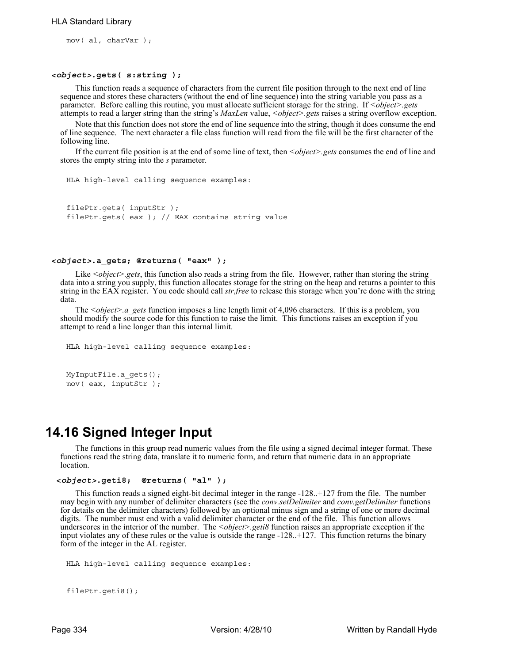mov( al, charVar );

#### *<object>***.gets( s:string );**

This function reads a sequence of characters from the current file position through to the next end of line sequence and stores these characters (without the end of line sequence) into the string variable you pass as a parameter. Before calling this routine, you must allocate sufficient storage for the string. If *<object>.gets* attempts to read a larger string than the string's *MaxLen* value, *<object>.gets* raises a string overflow exception.

Note that this function does not store the end of line sequence into the string, though it does consume the end of line sequence. The next character a file class function will read from the file will be the first character of the following line.

If the current file position is at the end of some line of text, then *<object>.gets* consumes the end of line and stores the empty string into the *s* parameter.

```
HLA high-level calling sequence examples:
```

```
filePtr.gets( inputStr );
filePtr.gets( eax ); // EAX contains string value
```
#### *<object>***.a\_gets; @returns( "eax" );**

Like *<object>.gets*, this function also reads a string from the file. However, rather than storing the string data into a string you supply, this function allocates storage for the string on the heap and returns a pointer to this string in the EAX register. You code should call *str.free* to release this storage when you're done with the string data.

The *<object>.a\_gets* function imposes a line length limit of 4,096 characters. If this is a problem, you should modify the source code for this function to raise the limit. This functions raises an exception if you attempt to read a line longer than this internal limit.

```
HLA high-level calling sequence examples:
MyInputFile.a_gets();
mov( eax, inputStr );
```
## **14.16 Signed Integer Input**

The functions in this group read numeric values from the file using a signed decimal integer format. These functions read the string data, translate it to numeric form, and return that numeric data in an appropriate location.

```
 <object>.geti8; @returns( "al" );
```
This function reads a signed eight-bit decimal integer in the range -128..+127 from the file. The number may begin with any number of delimiter characters (see the *conv.setDelimiter* and *conv.getDelimiter* functions for details on the delimiter characters) followed by an optional minus sign and a string of one or more decimal digits. The number must end with a valid delimiter character or the end of the file. This function allows underscores in the interior of the number. The *<object>.geti8* function raises an appropriate exception if the input violates any of these rules or the value is outside the range -128..+127. This function returns the binary form of the integer in the AL register.

```
HLA high-level calling sequence examples:
```

```
filePtr.geti8();
```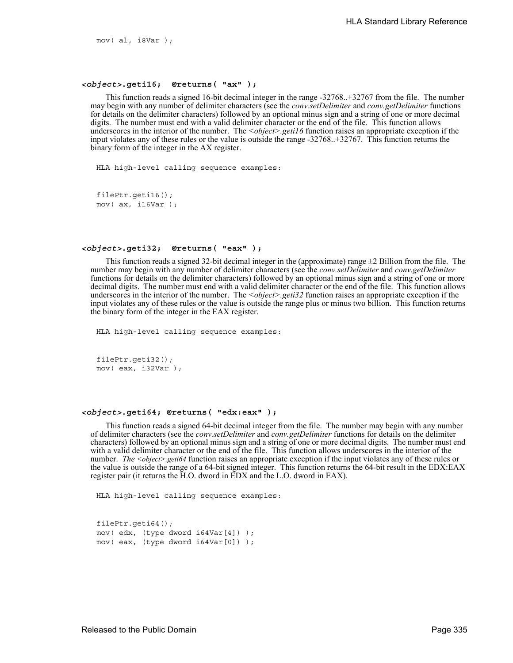mov( al, i8Var );

#### *<object>***.geti16; @returns( "ax" );**

This function reads a signed 16-bit decimal integer in the range -32768..+32767 from the file. The number may begin with any number of delimiter characters (see the *conv.setDelimiter* and *conv.getDelimiter* functions for details on the delimiter characters) followed by an optional minus sign and a string of one or more decimal digits. The number must end with a valid delimiter character or the end of the file. This function allows underscores in the interior of the number. The *<object>.geti16* function raises an appropriate exception if the input violates any of these rules or the value is outside the range -32768..+32767. This function returns the binary form of the integer in the AX register.

HLA high-level calling sequence examples:

```
filePtr.geti16();
mov( ax, i16Var );
```
#### *<object>***.geti32; @returns( "eax" );**

This function reads a signed 32-bit decimal integer in the (approximate) range  $\pm 2$  Billion from the file. The number may begin with any number of delimiter characters (see the *conv.setDelimiter* and *conv.getDelimiter* functions for details on the delimiter characters) followed by an optional minus sign and a string of one or more decimal digits. The number must end with a valid delimiter character or the end of the file. This function allows underscores in the interior of the number. The *<object>.geti32* function raises an appropriate exception if the input violates any of these rules or the value is outside the range plus or minus two billion. This function returns the binary form of the integer in the EAX register.

HLA high-level calling sequence examples:

```
filePtr.geti32();
mov( eax, i32Var );
```
#### *<object>***.geti64; @returns( "edx:eax" );**

This function reads a signed 64-bit decimal integer from the file. The number may begin with any number of delimiter characters (see the *conv.setDelimiter* and *conv.getDelimiter* functions for details on the delimiter characters) followed by an optional minus sign and a string of one or more decimal digits. The number must end with a valid delimiter character or the end of the file. This function allows underscores in the interior of the number. *The <object>.geti64* function raises an appropriate exception if the input violates any of these rules or the value is outside the range of a 64-bit signed integer. This function returns the 64-bit result in the EDX:EAX register pair (it returns the H.O. dword in EDX and the L.O. dword in EAX).

```
filePtr.geti64();
mov( edx, (type dword i64Var[4]) );
mov( eax, (type dword i64Var[0]) );
```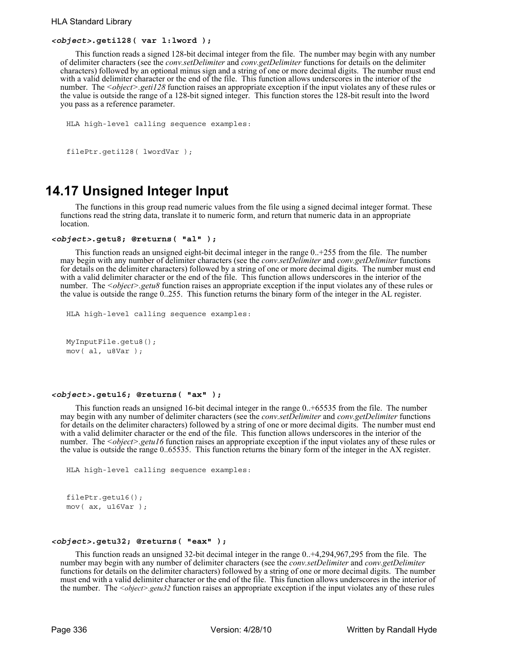#### *<object>***.geti128( var l:lword );**

This function reads a signed 128-bit decimal integer from the file. The number may begin with any number of delimiter characters (see the *conv.setDelimiter* and *conv.getDelimiter* functions for details on the delimiter characters) followed by an optional minus sign and a string of one or more decimal digits. The number must end with a valid delimiter character or the end of the file. This function allows underscores in the interior of the number. The *<object>.geti128* function raises an appropriate exception if the input violates any of these rules or the value is outside the range of a 128-bit signed integer. This function stores the 128-bit result into the lword you pass as a reference parameter.

```
HLA high-level calling sequence examples:
```

```
filePtr.geti128( lwordVar );
```
# **14.17 Unsigned Integer Input**

The functions in this group read numeric values from the file using a signed decimal integer format. These functions read the string data, translate it to numeric form, and return that numeric data in an appropriate location.

#### *<object>***.getu8; @returns( "al" );**

This function reads an unsigned eight-bit decimal integer in the range 0..+255 from the file. The number may begin with any number of delimiter characters (see the *conv.setDelimiter* and *conv.getDelimiter* functions for details on the delimiter characters) followed by a string of one or more decimal digits. The number must end with a valid delimiter character or the end of the file. This function allows underscores in the interior of the number. The *<object>.getu8* function raises an appropriate exception if the input violates any of these rules or the value is outside the range 0..255. This function returns the binary form of the integer in the AL register.

```
HLA high-level calling sequence examples:
```

```
MyInputFile.getu8();
mov( al, u8Var );
```
#### *<object>***.getu16; @returns( "ax" );**

This function reads an unsigned 16-bit decimal integer in the range 0..+65535 from the file. The number may begin with any number of delimiter characters (see the *conv.setDelimiter* and *conv.getDelimiter* functions for details on the delimiter characters) followed by a string of one or more decimal digits. The number must end with a valid delimiter character or the end of the file. This function allows underscores in the interior of the number. The *<object>.getu16* function raises an appropriate exception if the input violates any of these rules or the value is outside the range 0..65535. This function returns the binary form of the integer in the AX register.

HLA high-level calling sequence examples:

```
filePtr.getu16();
mov( ax, u16Var );
```
#### *<object>***.getu32; @returns( "eax" );**

This function reads an unsigned 32-bit decimal integer in the range 0..+4,294,967,295 from the file. The number may begin with any number of delimiter characters (see the *conv.setDelimiter* and *conv.getDelimiter* functions for details on the delimiter characters) followed by a string of one or more decimal digits. The number must end with a valid delimiter character or the end of the file. This function allows underscores in the interior of the number. The *<object>.getu32* function raises an appropriate exception if the input violates any of these rules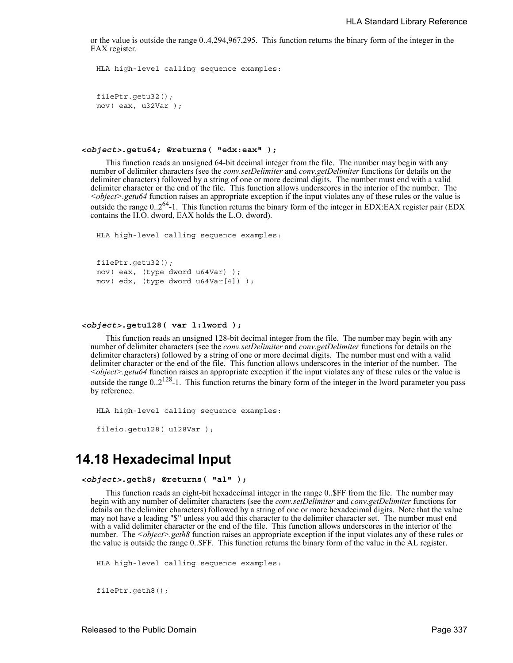or the value is outside the range 0..4,294,967,295. This function returns the binary form of the integer in the EAX register.

```
HLA high-level calling sequence examples:
filePtr.getu32();
mov( eax, u32Var );
```
#### *<object>***.getu64; @returns( "edx:eax" );**

This function reads an unsigned 64-bit decimal integer from the file. The number may begin with any number of delimiter characters (see the *conv.setDelimiter* and *conv.getDelimiter* functions for details on the delimiter characters) followed by a string of one or more decimal digits. The number must end with a valid delimiter character or the end of the file. This function allows underscores in the interior of the number. The *<object>.getu64* function raises an appropriate exception if the input violates any of these rules or the value is outside the range 0..2<sup>64</sup>-1. This function returns the binary form of the integer in EDX:EAX register pair (EDX contains the H.O. dword, EAX holds the L.O. dword).

```
HLA high-level calling sequence examples:
```

```
filePtr.getu32();
mov( eax, (type dword u64Var) );
mov( edx, (type dword u64Var[4]) );
```
#### *<object>***.getu128( var l:lword );**

This function reads an unsigned 128-bit decimal integer from the file. The number may begin with any number of delimiter characters (see the *conv.setDelimiter* and *conv.getDelimiter* functions for details on the delimiter characters) followed by a string of one or more decimal digits. The number must end with a valid delimiter character or the end of the file. This function allows underscores in the interior of the number. The *<object>.getu64* function raises an appropriate exception if the input violates any of these rules or the value is outside the range  $0.2^{128}$ -1. This function returns the binary form of the integer in the lword parameter you pass by reference.

```
HLA high-level calling sequence examples:
fileio.getu128( u128Var );
```
## **14.18 Hexadecimal Input**

```
<object>.geth8; @returns( "al" );
```
This function reads an eight-bit hexadecimal integer in the range 0..\$FF from the file. The number may begin with any number of delimiter characters (see the *conv.setDelimiter* and *conv.getDelimiter* functions for details on the delimiter characters) followed by a string of one or more hexadecimal digits. Note that the value may not have a leading "\$" unless you add this character to the delimiter character set. The number must end with a valid delimiter character or the end of the file. This function allows underscores in the interior of the number. The *<object>.geth8* function raises an appropriate exception if the input violates any of these rules or the value is outside the range 0..\$FF. This function returns the binary form of the value in the AL register.

```
HLA high-level calling sequence examples:
```

```
filePtr.geth8();
```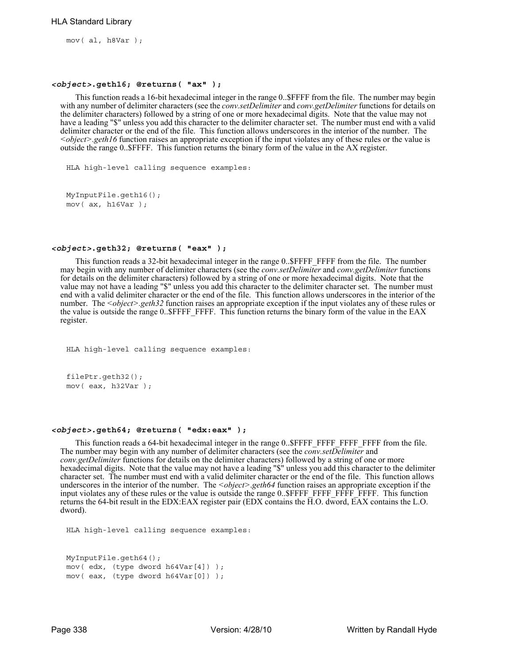mov( al, h8Var );

#### *<object>***.geth16; @returns( "ax" );**

This function reads a 16-bit hexadecimal integer in the range 0..\$FFFF from the file. The number may begin with any number of delimiter characters (see the *conv.setDelimiter* and *conv.getDelimiter* functions for details on the delimiter characters) followed by a string of one or more hexadecimal digits. Note that the value may not have a leading "\$" unless you add this character to the delimiter character set. The number must end with a valid delimiter character or the end of the file. This function allows underscores in the interior of the number. The *<object>.geth16* function raises an appropriate exception if the input violates any of these rules or the value is outside the range 0..\$FFFF. This function returns the binary form of the value in the AX register.

HLA high-level calling sequence examples:

```
MyInputFile.geth16();
mov( ax, h16Var );
```
#### *<object>***.geth32; @returns( "eax" );**

This function reads a 32-bit hexadecimal integer in the range 0..\$FFFF FFFF from the file. The number may begin with any number of delimiter characters (see the *conv.setDelimiter* and *conv.getDelimiter* functions for details on the delimiter characters) followed by a string of one or more hexadecimal digits. Note that the value may not have a leading "\$" unless you add this character to the delimiter character set. The number must end with a valid delimiter character or the end of the file. This function allows underscores in the interior of the number. The *<object>.geth32* function raises an appropriate exception if the input violates any of these rules or the value is outside the range 0..\$FFFF\_FFFF. This function returns the binary form of the value in the EAX register.

```
HLA high-level calling sequence examples:
```

```
filePtr.geth32();
mov( eax, h32Var );
```
#### *<object>***.geth64; @returns( "edx:eax" );**

This function reads a 64-bit hexadecimal integer in the range 0..\$FFFF\_FFFF\_FFFF from the file. The number may begin with any number of delimiter characters (see the *conv.setDelimiter* and *conv.getDelimiter* functions for details on the delimiter characters) followed by a string of one or more hexadecimal digits. Note that the value may not have a leading "\$" unless you add this character to the delimiter character set. The number must end with a valid delimiter character or the end of the file. This function allows underscores in the interior of the number. The *<object>*.*geth64* function raises an appropriate exception if the input violates any of these rules or the value is outside the range 0..\$FFFF\_FFFF\_FFFF\_FFFF. This function returns the 64-bit result in the EDX:EAX register pair (EDX contains the H.O. dword, EAX contains the L.O. dword).

```
MyInputFile.geth64();
mov( edx, (type dword h64Var[4]) );
mov( eax, (type dword h64Var[0]) );
```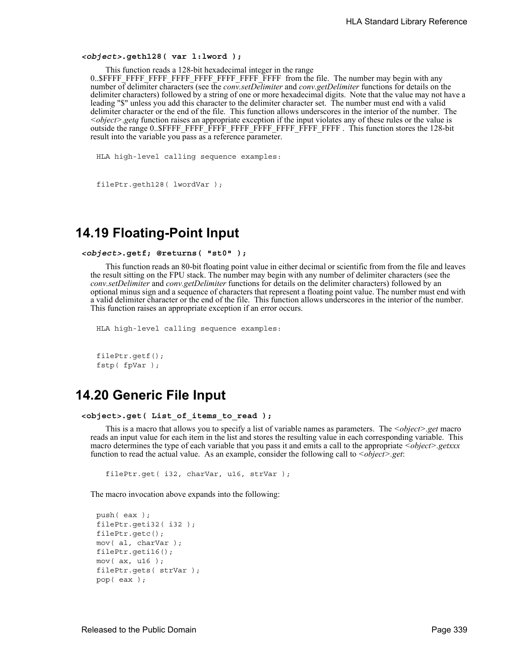#### *<object>***.geth128( var l:lword );**

This function reads a 128-bit hexadecimal integer in the range

0..\$FFFF\_FFFF\_FFFF\_FFFF\_FFFF\_FFFF\_FFFF\_FFFF from the file. The number may begin with any number of delimiter characters (see the *conv.setDelimiter* and *conv.getDelimiter* functions for details on the delimiter characters) followed by a string of one or more hexadecimal digits. Note that the value may not have a leading "\$" unless you add this character to the delimiter character set. The number must end with a valid delimiter character or the end of the file. This function allows underscores in the interior of the number. The *<object>*.*getq* function raises an appropriate exception if the input violates any of these rules or the value is outside the range 0..\$FFFF\_FFFF\_FFFF\_FFFF\_FFFF\_FFFF\_FFFF\_FFFF . This function stores the 128-bit result into the variable you pass as a reference parameter.

HLA high-level calling sequence examples:

```
filePtr.geth128( lwordVar );
```
# **14.19 Floating-Point Input**

```
<object>.getf; @returns( "st0" );
```
This function reads an 80-bit floating point value in either decimal or scientific from from the file and leaves the result sitting on the FPU stack. The number may begin with any number of delimiter characters (see the *conv.setDelimiter* and *conv.getDelimiter* functions for details on the delimiter characters) followed by an optional minus sign and a sequence of characters that represent a floating point value. The number must end with a valid delimiter character or the end of the file. This function allows underscores in the interior of the number. This function raises an appropriate exception if an error occurs.

```
HLA high-level calling sequence examples:
```

```
filePtr.getf();
fstp( fpVar );
```
# **14.20 Generic File Input**

```
<object>.get( List_of_items_to_read );
```
This is a macro that allows you to specify a list of variable names as parameters. The *<object>.get* macro reads an input value for each item in the list and stores the resulting value in each corresponding variable. This macro determines the type of each variable that you pass it and emits a call to the appropriate *<object>.getxxx* function to read the actual value. As an example, consider the following call to *<object>.get*:

filePtr.get( i32, charVar, u16, strVar );

The macro invocation above expands into the following:

```
push( eax );
filePtr.geti32( i32 );
filePtr.getc();
mov( al, charVar );
filePtr.geti16();
mov( ax, u16 );
filePtr.gets( strVar );
pop( eax );
```